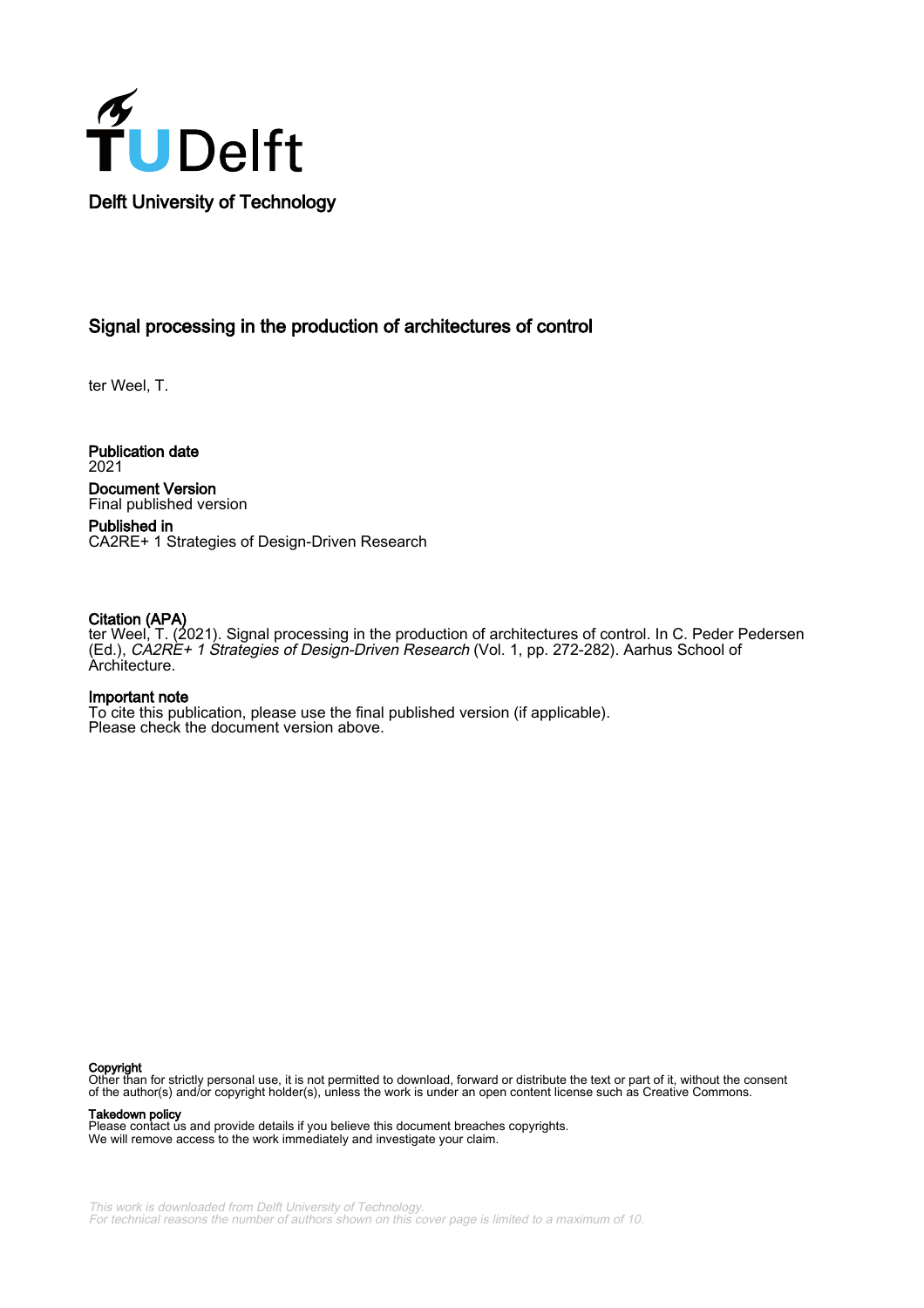

### Signal processing in the production of architectures of control

ter Weel, T.

Publication date 2021 Document Version Final published version

Published in CA2RE+ 1 Strategies of Design-Driven Research

### Citation (APA)

ter Weel, T. (2021). Signal processing in the production of architectures of control. In C. Peder Pedersen (Ed.), CA2RE+ 1 Strategies of Design-Driven Research (Vol. 1, pp. 272-282). Aarhus School of Architecture.

### Important note

To cite this publication, please use the final published version (if applicable). Please check the document version above.

### Copyright

Other than for strictly personal use, it is not permitted to download, forward or distribute the text or part of it, without the consent of the author(s) and/or copyright holder(s), unless the work is under an open content license such as Creative Commons.

Takedown policy

Please contact us and provide details if you believe this document breaches copyrights. We will remove access to the work immediately and investigate your claim.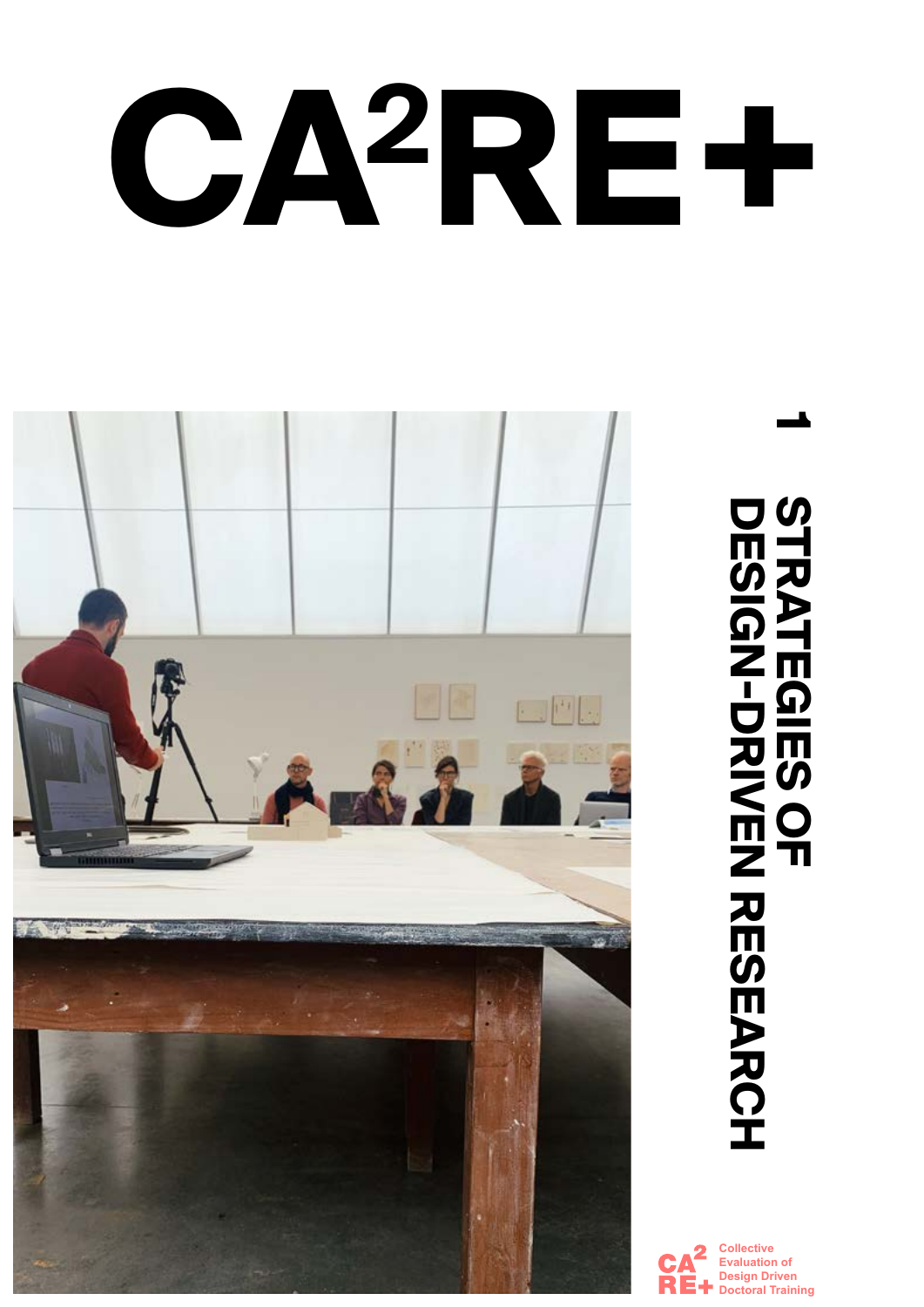# **CA2RE+**



# **1** STRATEGIES OF<br>DESIGN-DRIVEN<br>DESIGN-DRIVEN **DESIGN-DRIVEN RESEARCH STRATEGIES OF**

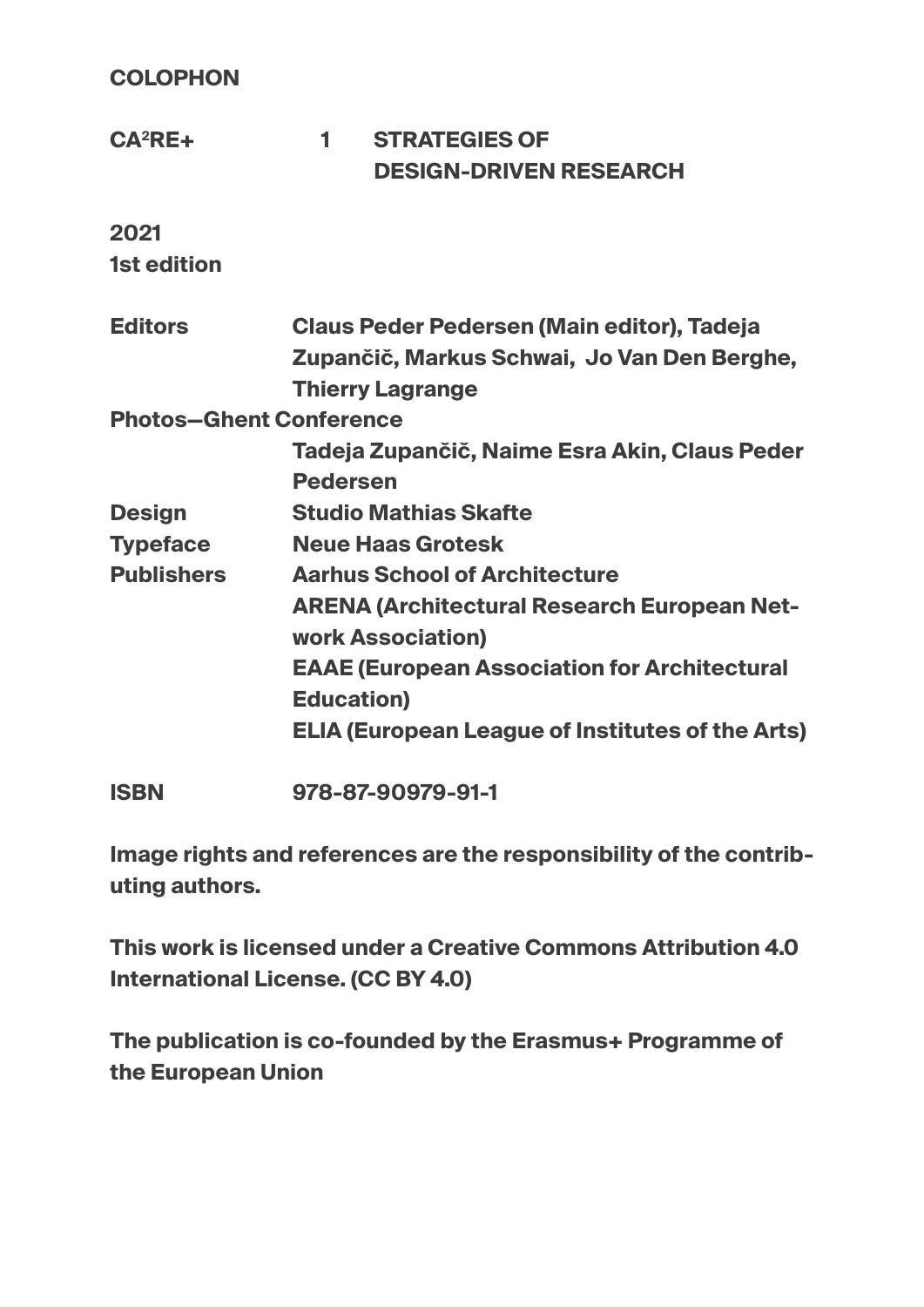**COLOPHON**

| $CA2RE+$                       | 1                                           | <b>STRATEGIES OF</b><br><b>DESIGN-DRIVEN RESEARCH</b>   |
|--------------------------------|---------------------------------------------|---------------------------------------------------------|
| 2021                           |                                             |                                                         |
| <b>1st edition</b>             |                                             |                                                         |
| <b>Editors</b>                 | Claus Peder Pedersen (Main editor), Tadeja  |                                                         |
|                                | Zupančič, Markus Schwai, Jo Van Den Berghe, |                                                         |
|                                | <b>Thierry Lagrange</b>                     |                                                         |
| <b>Photos-Ghent Conference</b> |                                             |                                                         |
|                                |                                             | Tadeja Zupančič, Naime Esra Akin, Claus Peder           |
|                                | <b>Pedersen</b>                             |                                                         |
| <b>Design</b>                  |                                             | <b>Studio Mathias Skafte</b>                            |
| <b>Typeface</b>                |                                             | <b>Neue Haas Grotesk</b>                                |
| <b>Publishers</b>              |                                             | <b>Aarhus School of Architecture</b>                    |
|                                |                                             | <b>ARENA (Architectural Research European Net-</b>      |
|                                |                                             | <b>work Association)</b>                                |
|                                |                                             | <b>EAAE (European Association for Architectural</b>     |
|                                | <b>Education)</b>                           |                                                         |
|                                |                                             | <b>ELIA (European League of Institutes of the Arts)</b> |
|                                |                                             |                                                         |

**ISBN 978-87-90979-91-1**

**Image rights and references are the responsibility of the contributing authors.**

**This work is licensed under a Creative Commons Attribution 4.0 International License. (CC BY 4.0)**

**The publication is co-founded by the Erasmus+ Programme of the European Union**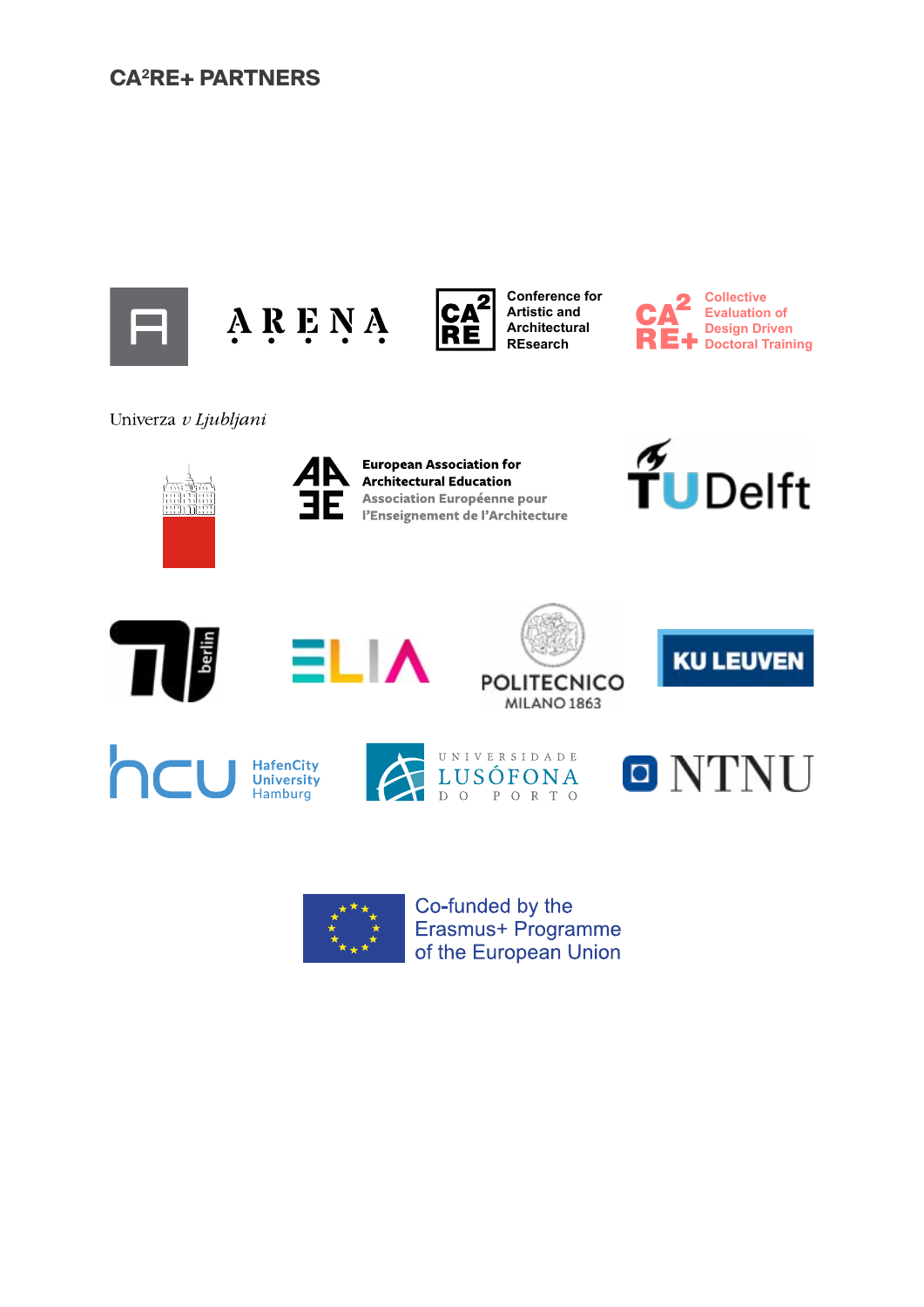## **CA2RE+ PARTNERS**







**Conference for Artistic and Architectural REsearch**



Univerza v Ljubljani





**European Association for Architectural Education Association Européenne pour** l'Enseignement de l'Architecture











**POLITECNICO MILANO 1863** 



**KU LEUVEN** 



ELIA

Co-funded by the Erasmus+ Programme of the European Union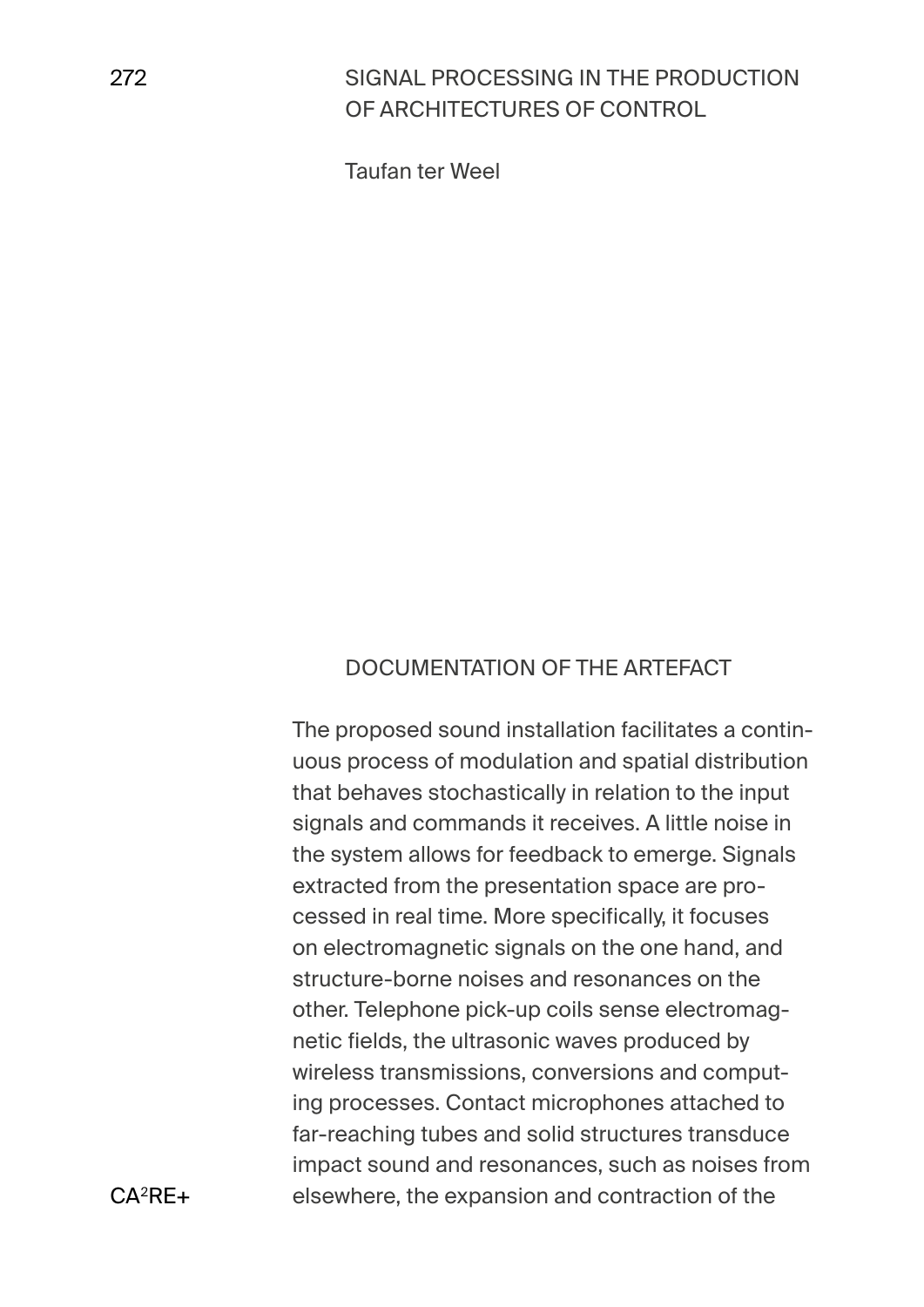# SIGNAL PROCESSING IN THE PRODUCTION OF ARCHITECTURES OF CONTROL

Taufan ter Weel

### DOCUMENTATION OF THE ARTEFACT

The proposed sound installation facilitates a continuous process of modulation and spatial distribution that behaves stochastically in relation to the input signals and commands it receives. A little noise in the system allows for feedback to emerge. Signals extracted from the presentation space are processed in real time. More specifically, it focuses on electromagnetic signals on the one hand, and structure-borne noises and resonances on the other. Telephone pick-up coils sense electromagnetic fields, the ultrasonic waves produced by wireless transmissions, conversions and computing processes. Contact microphones attached to far-reaching tubes and solid structures transduce impact sound and resonances, such as noises from elsewhere, the expansion and contraction of the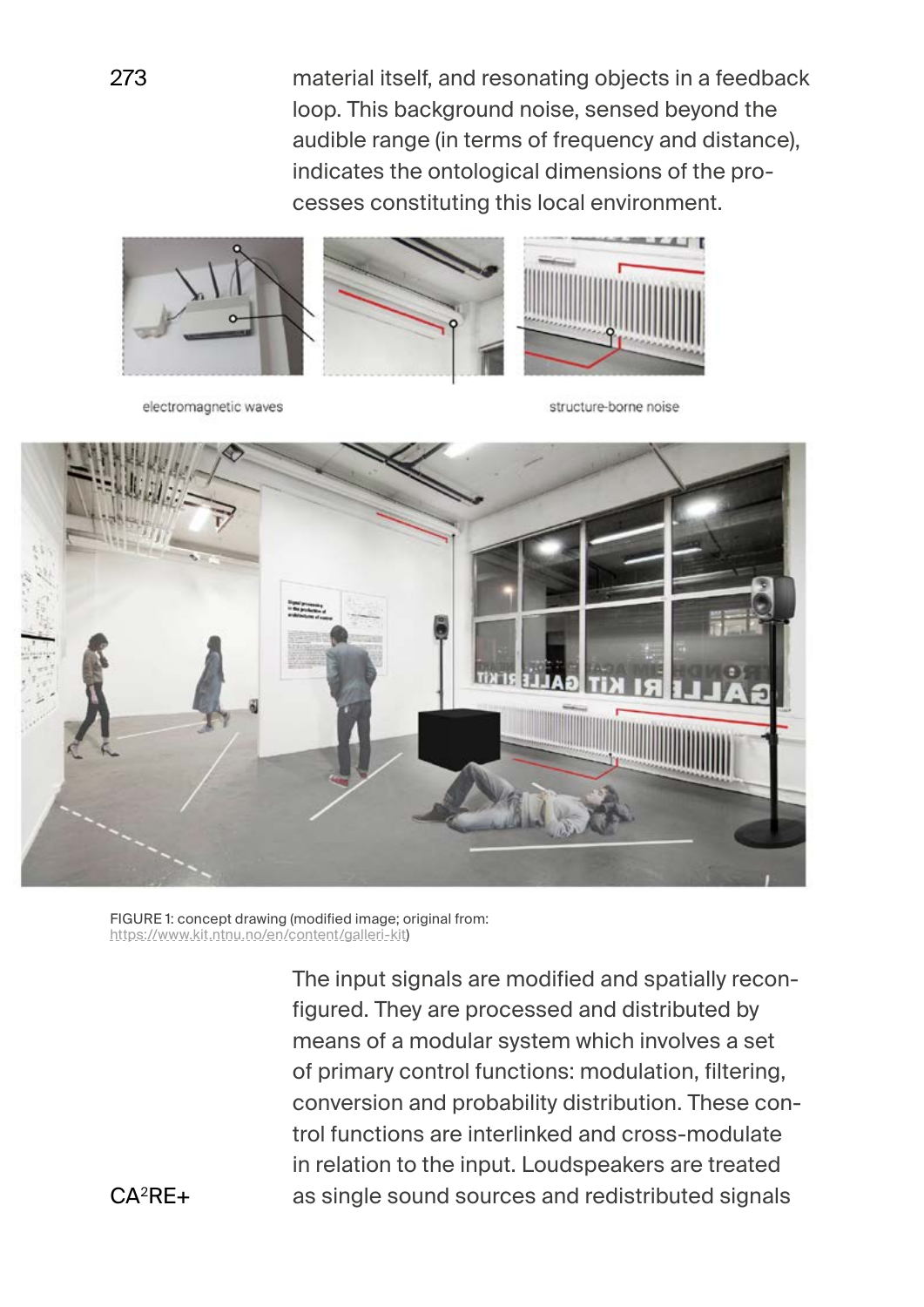material itself, and resonating objects in a feedback loop. This background noise, sensed beyond the audible range (in terms of frequency and distance), indicates the ontological dimensions of the processes constituting this local environment.



electromagnetic waves

structure-borne noise



FIGURE 1: concept drawing (modified image; original from: [https://www.kit.ntnu.no/en/content/galleri-kit\)](https://www.kit.ntnu.no/en/content/galleri-kit)

> The input signals are modified and spatially reconfigured. They are processed and distributed by means of a modular system which involves a set of primary control functions: modulation, filtering, conversion and probability distribution. These control functions are interlinked and cross-modulate in relation to the input. Loudspeakers are treated as single sound sources and redistributed signals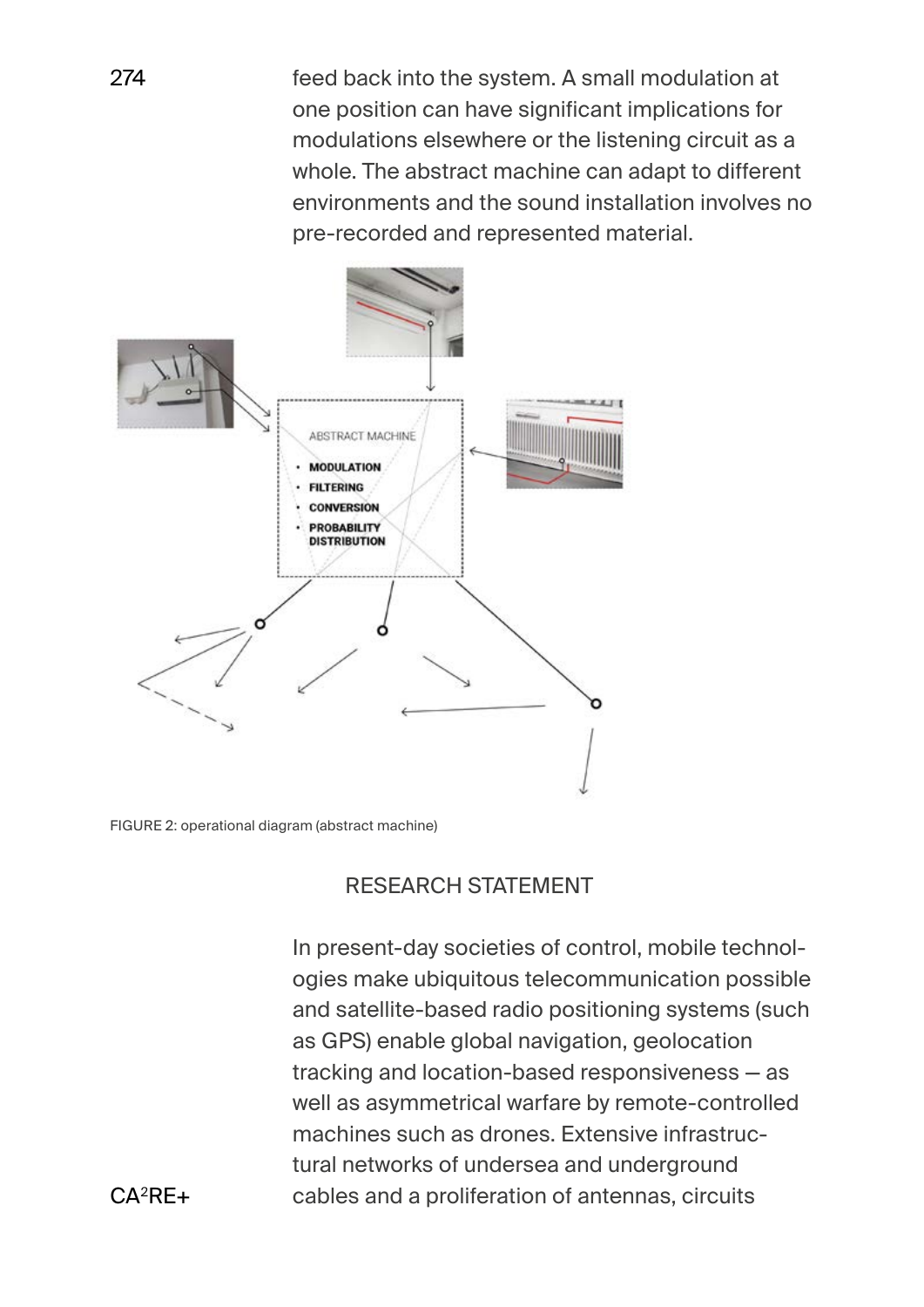feed back into the system. A small modulation at one position can have significant implications for modulations elsewhere or the listening circuit as a whole. The abstract machine can adapt to different environments and the sound installation involves no pre-recorded and represented material.



FIGURE 2: operational diagram (abstract machine)

# RESEARCH STATEMENT

In present-day societies of control, mobile technologies make ubiquitous telecommunication possible and satellite-based radio positioning systems (such as GPS) enable global navigation, geolocation tracking and location-based responsiveness — as well as asymmetrical warfare by remote-controlled machines such as drones. Extensive infrastructural networks of undersea and underground cables and a proliferation of antennas, circuits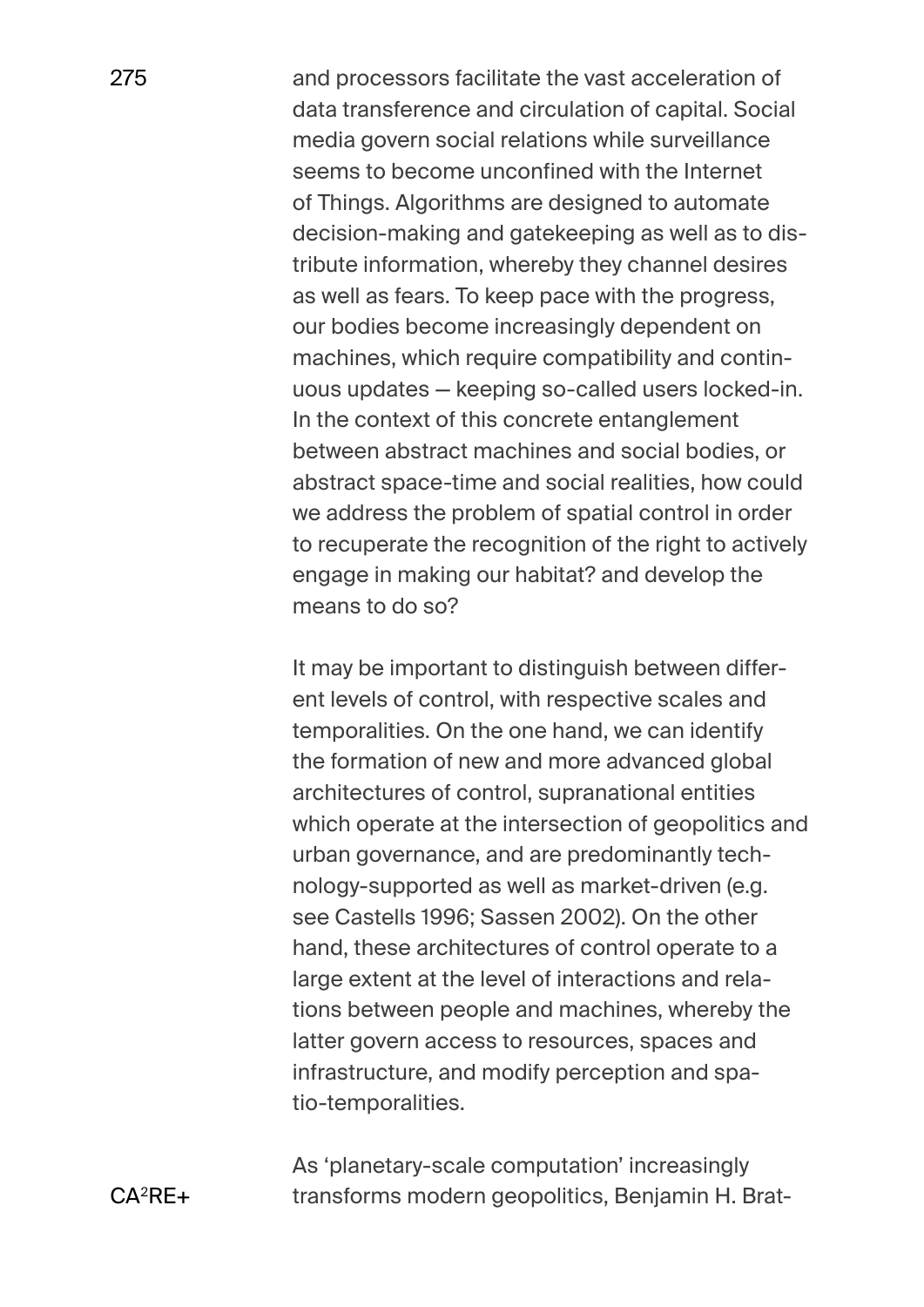and processors facilitate the vast acceleration of data transference and circulation of capital. Social media govern social relations while surveillance seems to become unconfined with the Internet of Things. Algorithms are designed to automate decision-making and gatekeeping as well as to distribute information, whereby they channel desires as well as fears. To keep pace with the progress, our bodies become increasingly dependent on machines, which require compatibility and continuous updates — keeping so-called users locked-in. In the context of this concrete entanglement between abstract machines and social bodies, or abstract space-time and social realities, how could we address the problem of spatial control in order to recuperate the recognition of the right to actively engage in making our habitat? and develop the means to do so?

It may be important to distinguish between different levels of control, with respective scales and temporalities. On the one hand, we can identify the formation of new and more advanced global architectures of control, supranational entities which operate at the intersection of geopolitics and urban governance, and are predominantly technology-supported as well as market-driven (e.g. see Castells 1996; Sassen 2002). On the other hand, these architectures of control operate to a large extent at the level of interactions and relations between people and machines, whereby the latter govern access to resources, spaces and infrastructure, and modify perception and spatio-temporalities.

As 'planetary-scale computation' increasingly transforms modern geopolitics, Benjamin H. Brat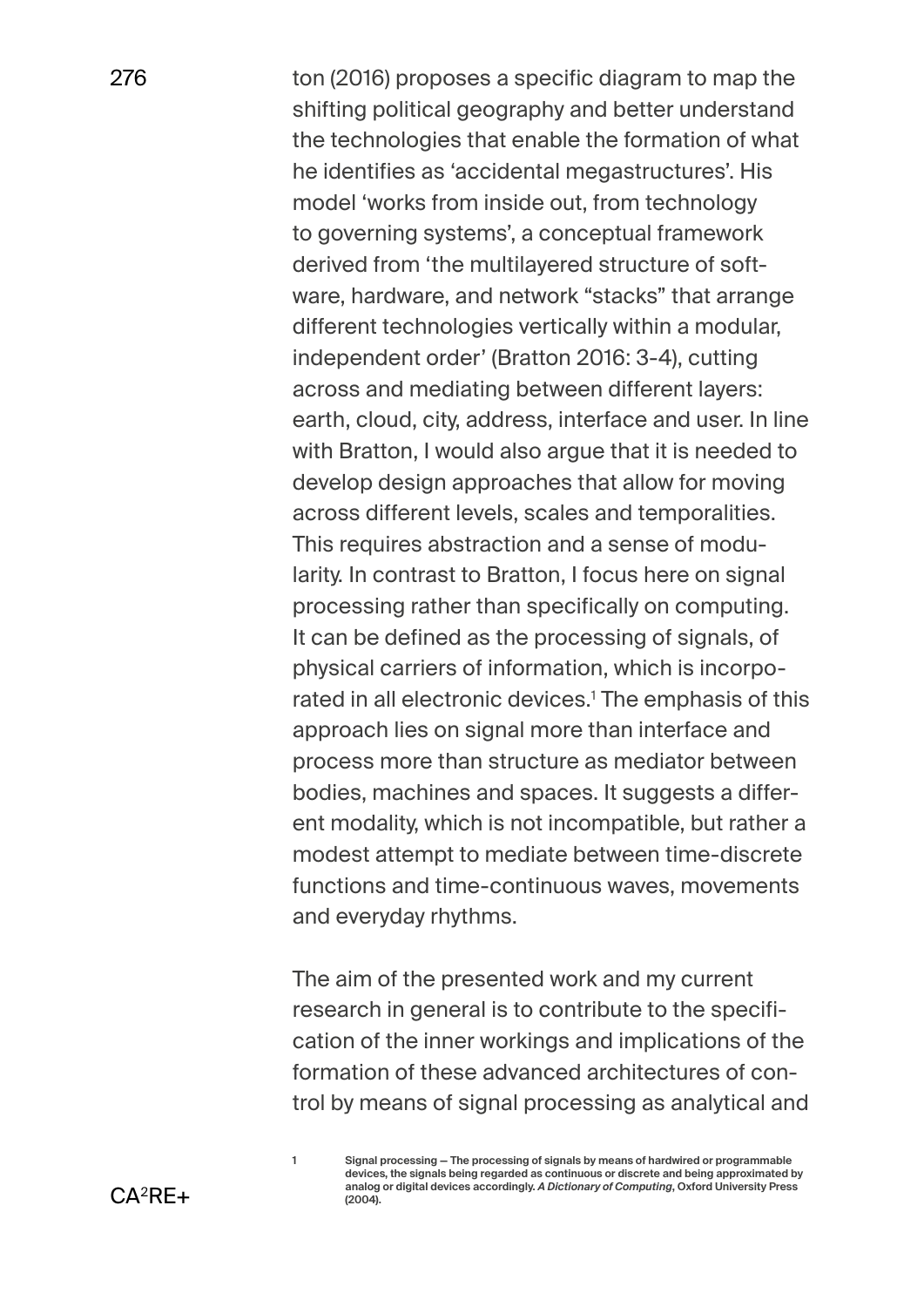ton (2016) proposes a specific diagram to map the shifting political geography and better understand the technologies that enable the formation of what he identifies as 'accidental megastructures'. His model 'works from inside out, from technology to governing systems', a conceptual framework derived from 'the multilayered structure of software, hardware, and network "stacks" that arrange different technologies vertically within a modular, independent order' (Bratton 2016: 3-4), cutting across and mediating between different layers: earth, cloud, city, address, interface and user. In line with Bratton, I would also argue that it is needed to develop design approaches that allow for moving across different levels, scales and temporalities. This requires abstraction and a sense of modularity. In contrast to Bratton, I focus here on signal processing rather than specifically on computing. It can be defined as the processing of signals, of physical carriers of information, which is incorporated in all electronic devices.1 The emphasis of this approach lies on signal more than interface and process more than structure as mediator between bodies, machines and spaces. It suggests a different modality, which is not incompatible, but rather a modest attempt to mediate between time-discrete functions and time-continuous waves, movements and everyday rhythms.

The aim of the presented work and my current research in general is to contribute to the specification of the inner workings and implications of the formation of these advanced architectures of control by means of signal processing as analytical and

**1 Signal processing — The processing of signals by means of hardwired or programmable devices, the signals being regarded as continuous or discrete and being approximated by analog or digital devices accordingly.** *A Dictionary of Computing***, Oxford University Press (2004).**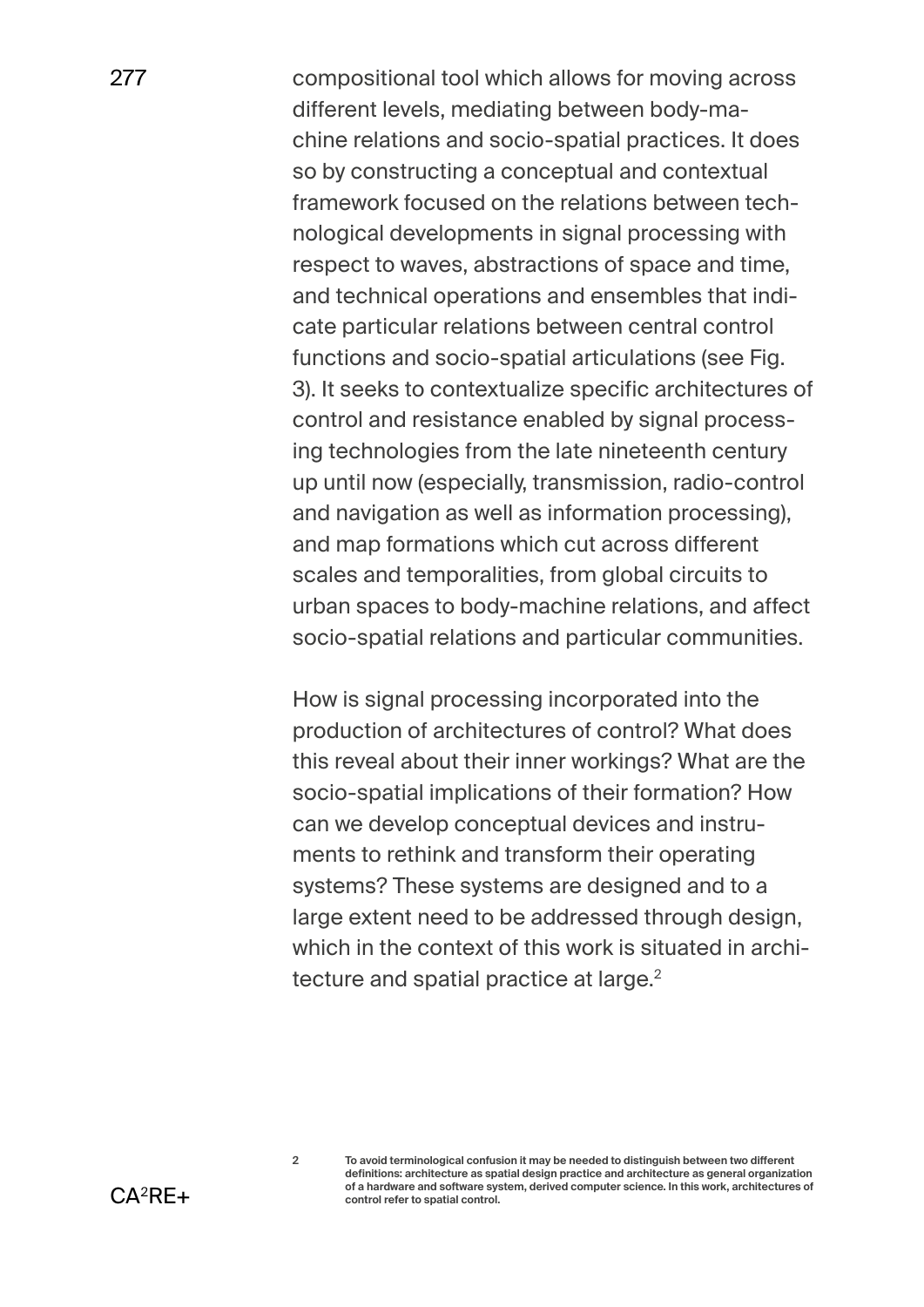compositional tool which allows for moving across different levels, mediating between body-machine relations and socio-spatial practices. It does so by constructing a conceptual and contextual framework focused on the relations between technological developments in signal processing with respect to waves, abstractions of space and time, and technical operations and ensembles that indicate particular relations between central control functions and socio-spatial articulations (see Fig. 3). It seeks to contextualize specific architectures of control and resistance enabled by signal processing technologies from the late nineteenth century up until now (especially, transmission, radio-control and navigation as well as information processing), and map formations which cut across different scales and temporalities, from global circuits to urban spaces to body-machine relations, and affect socio-spatial relations and particular communities.

How is signal processing incorporated into the production of architectures of control? What does this reveal about their inner workings? What are the socio-spatial implications of their formation? How can we develop conceptual devices and instruments to rethink and transform their operating systems? These systems are designed and to a large extent need to be addressed through design, which in the context of this work is situated in architecture and spatial practice at large.<sup>2</sup>

**<sup>2</sup> To avoid terminological confusion it may be needed to distinguish between two different definitions: architecture as spatial design practice and architecture as general organization of a hardware and software system, derived computer science. In this work, architectures of control refer to spatial control.**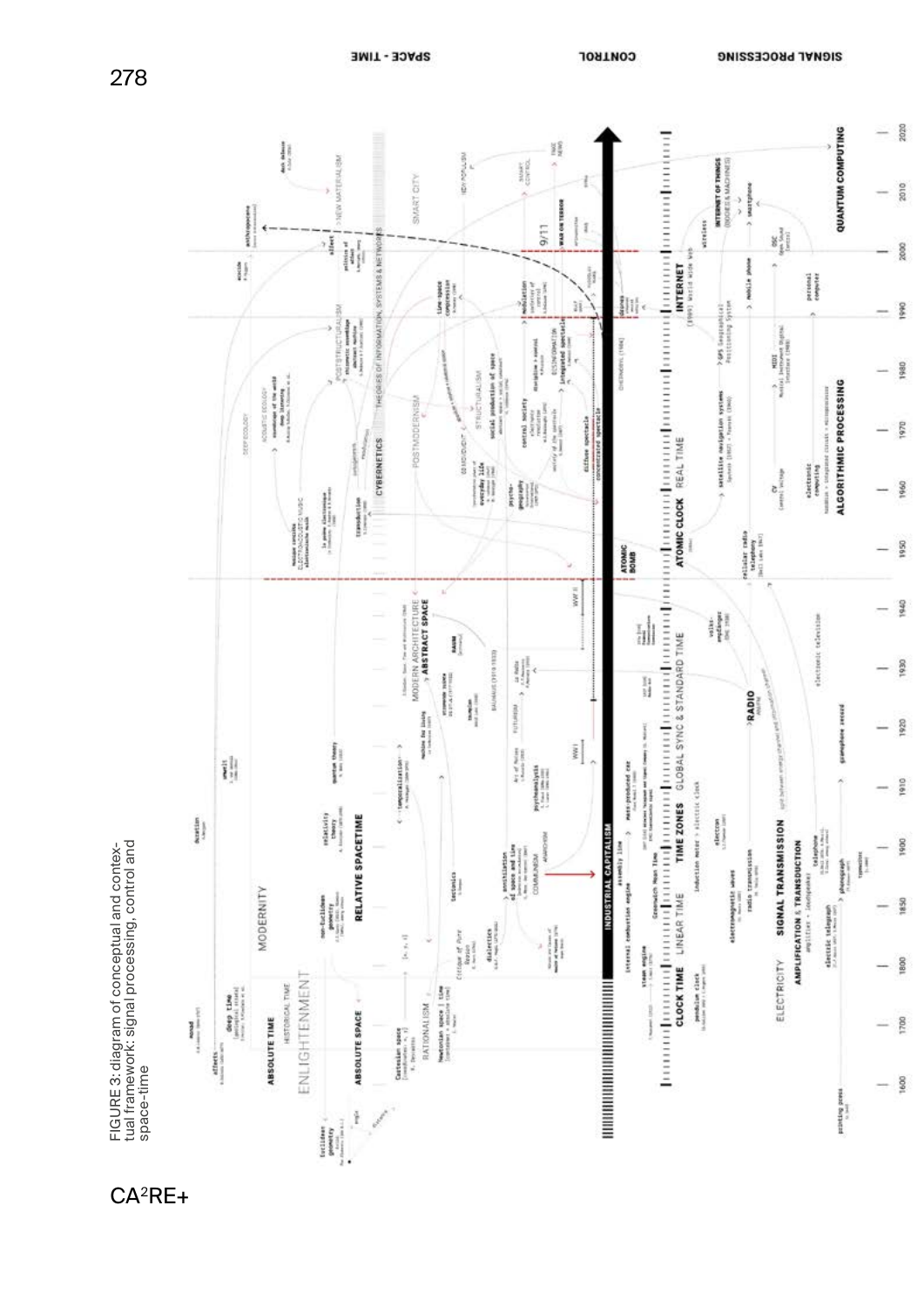

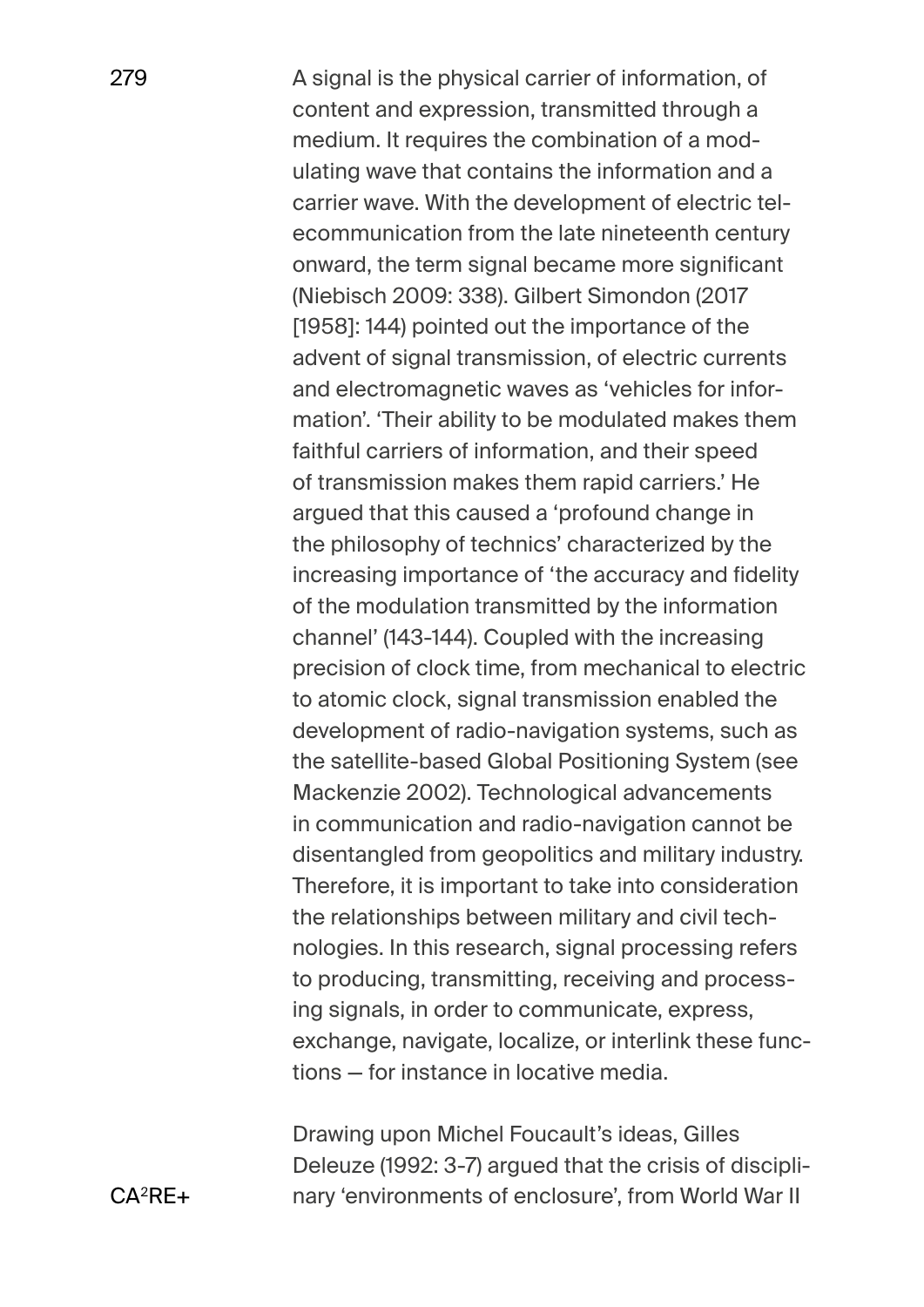A signal is the physical carrier of information, of content and expression, transmitted through a medium. It requires the combination of a modulating wave that contains the information and a carrier wave. With the development of electric telecommunication from the late nineteenth century onward, the term signal became more significant (Niebisch 2009: 338). Gilbert Simondon (2017 [1958]: 144) pointed out the importance of the advent of signal transmission, of electric currents and electromagnetic waves as 'vehicles for information'. 'Their ability to be modulated makes them faithful carriers of information, and their speed of transmission makes them rapid carriers.' He argued that this caused a 'profound change in the philosophy of technics' characterized by the increasing importance of 'the accuracy and fidelity of the modulation transmitted by the information channel' (143-144). Coupled with the increasing precision of clock time, from mechanical to electric to atomic clock, signal transmission enabled the development of radio-navigation systems, such as the satellite-based Global Positioning System (see Mackenzie 2002). Technological advancements in communication and radio-navigation cannot be disentangled from geopolitics and military industry. Therefore, it is important to take into consideration the relationships between military and civil technologies. In this research, signal processing refers to producing, transmitting, receiving and processing signals, in order to communicate, express, exchange, navigate, localize, or interlink these functions — for instance in locative media.

Drawing upon Michel Foucault's ideas, Gilles Deleuze (1992: 3-7) argued that the crisis of disciplinary 'environments of enclosure', from World War II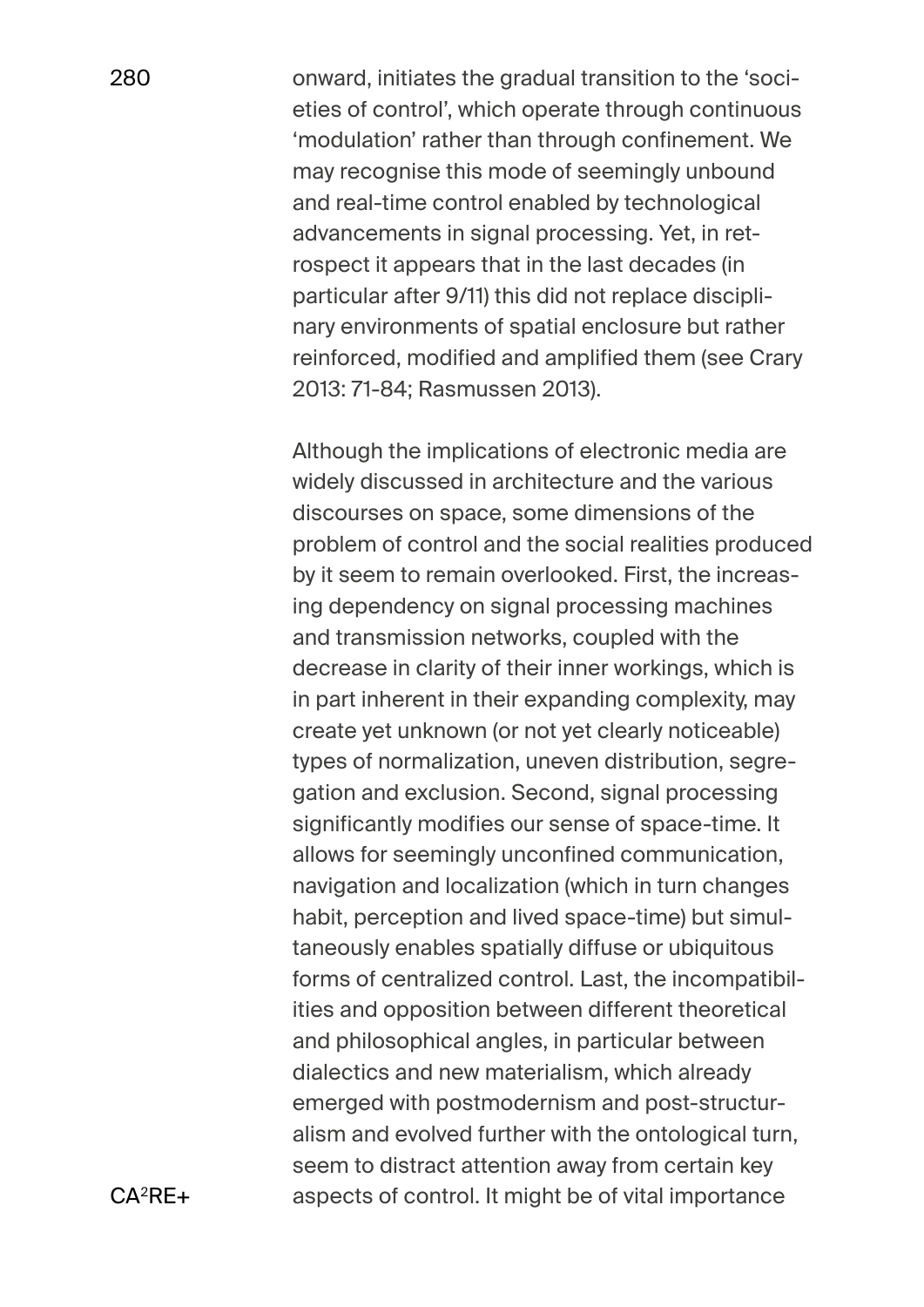onward, initiates the gradual transition to the 'societies of control', which operate through continuous 'modulation' rather than through confinement. We may recognise this mode of seemingly unbound and real-time control enabled by technological advancements in signal processing. Yet, in retrospect it appears that in the last decades (in particular after 9/11) this did not replace disciplinary environments of spatial enclosure but rather reinforced, modified and amplified them (see Crary 2013: 71-84; Rasmussen 2013).

Although the implications of electronic media are widely discussed in architecture and the various discourses on space, some dimensions of the problem of control and the social realities produced by it seem to remain overlooked. First, the increasing dependency on signal processing machines and transmission networks, coupled with the decrease in clarity of their inner workings, which is in part inherent in their expanding complexity, may create yet unknown (or not yet clearly noticeable) types of normalization, uneven distribution, segregation and exclusion. Second, signal processing significantly modifies our sense of space-time. It allows for seemingly unconfined communication, navigation and localization (which in turn changes habit, perception and lived space-time) but simultaneously enables spatially diffuse or ubiquitous forms of centralized control. Last, the incompatibilities and opposition between different theoretical and philosophical angles, in particular between dialectics and new materialism, which already emerged with postmodernism and post-structuralism and evolved further with the ontological turn, seem to distract attention away from certain key aspects of control. It might be of vital importance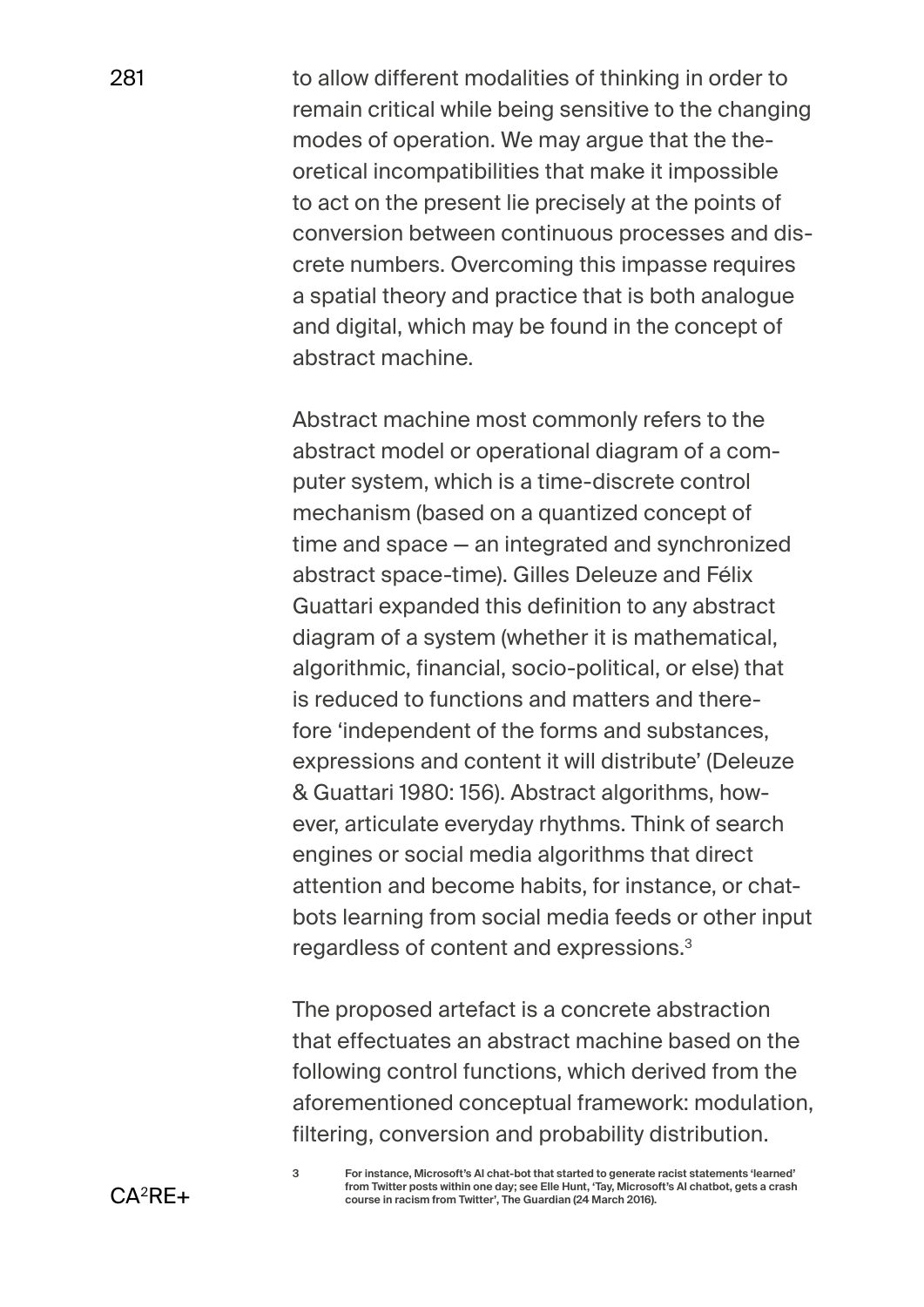to allow different modalities of thinking in order to remain critical while being sensitive to the changing modes of operation. We may argue that the theoretical incompatibilities that make it impossible to act on the present lie precisely at the points of conversion between continuous processes and discrete numbers. Overcoming this impasse requires a spatial theory and practice that is both analogue and digital, which may be found in the concept of abstract machine.

Abstract machine most commonly refers to the abstract model or operational diagram of a computer system, which is a time-discrete control mechanism (based on a quantized concept of time and space — an integrated and synchronized abstract space-time). Gilles Deleuze and Félix Guattari expanded this definition to any abstract diagram of a system (whether it is mathematical, algorithmic, financial, socio-political, or else) that is reduced to functions and matters and therefore 'independent of the forms and substances, expressions and content it will distribute' (Deleuze & Guattari 1980: 156). Abstract algorithms, however, articulate everyday rhythms. Think of search engines or social media algorithms that direct attention and become habits, for instance, or chatbots learning from social media feeds or other input regardless of content and expressions.3

The proposed artefact is a concrete abstraction that effectuates an abstract machine based on the following control functions, which derived from the aforementioned conceptual framework: modulation, filtering, conversion and probability distribution.

**<sup>3</sup> For instance, Microsoft's AI chat-bot that started to generate racist statements 'learned' from Twitter posts within one day; see Elle Hunt, 'Tay, Microsoft's AI chatbot, gets a crash course in racism from Twitter', The Guardian (24 March 2016).**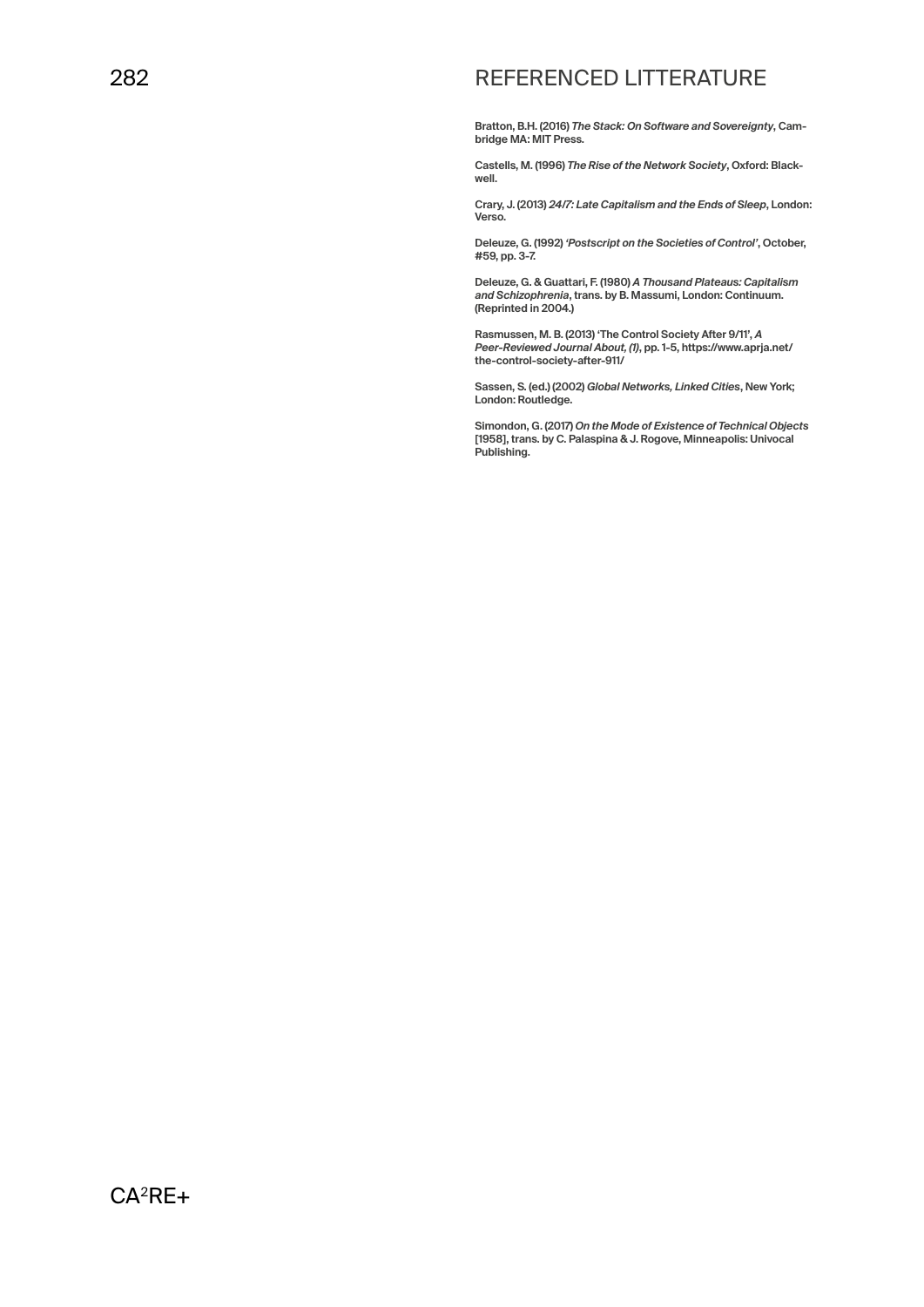# REFERENCED LITTERATURE

**Bratton, B.H. (2016)** *The Stack: On Software and Sovereignty***, Cambridge MA: MIT Press.**

**Castells, M. (1996)** *The Rise of the Network Society***, Oxford: Blackwell.**

**Crary, J. (2013)** *24/7: Late Capitalism and the Ends of Sleep***, London: Verso.**

**Deleuze, G. (1992)** *'Postscript on the Societies of Control'***, October, #59, pp. 3-7.**

**Deleuze, G. & Guattari, F. (1980)** *A Thousand Plateaus: Capitalism and Schizophrenia***, trans. by B. Massumi, London: Continuum. (Reprinted in 2004.)**

**Rasmussen, M. B. (2013) 'The Control Society After 9/11',** *A Peer-Reviewed Journal About, (1)***, pp. 1-5, https://www.aprja.net/ the-control-society-after-911/**

**Sassen, S. (ed.) (2002)** *Global Networks, Linked Cities***, New York; London: Routledge.**

**Simondon, G. (2017)** *On the Mode of Existence of Technical Objects*  **[1958], trans. by C. Palaspina & J. Rogove, Minneapolis: Univocal Publishing.**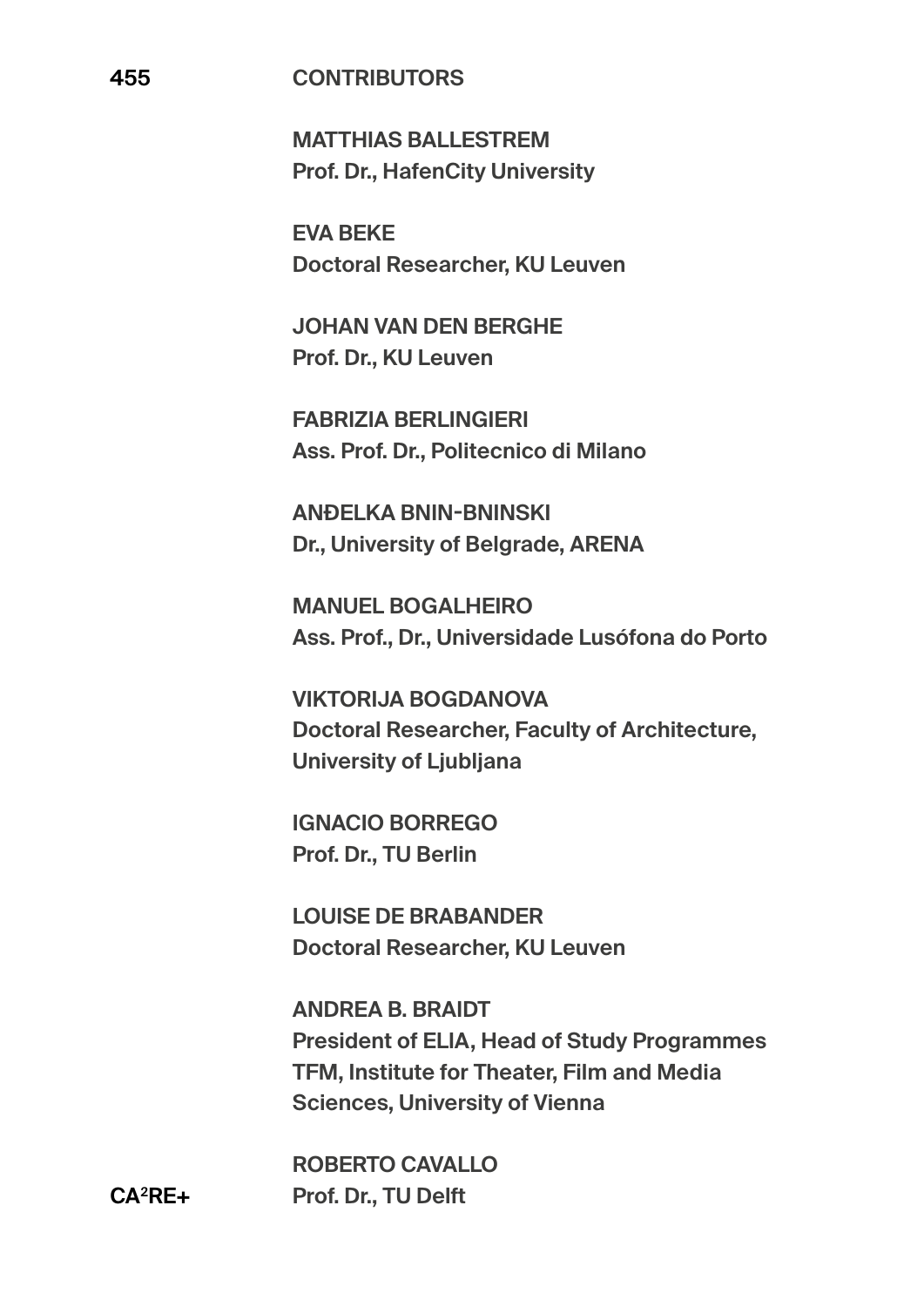### **455 CONTRIBUTORS**

**MATTHIAS BALLESTREM Prof. Dr., HafenCity University** 

**EVA BEKE Doctoral Researcher, KU Leuven**

**JOHAN VAN DEN BERGHE Prof. Dr., KU Leuven** 

**FABRIZIA BERLINGIERI Ass. Prof. Dr., Politecnico di Milano** 

**ANĐELKA BNIN-BNINSKI Dr., University of Belgrade, ARENA** 

**MANUEL BOGALHEIRO Ass. Prof., Dr., Universidade Lusófona do Porto**

**VIKTORIJA BOGDANOVA Doctoral Researcher, Faculty of Architecture, University of Ljubljana** 

**IGNACIO BORREGO Prof. Dr., TU Berlin** 

**LOUISE DE BRABANDER Doctoral Researcher, KU Leuven**

**ANDREA B. BRAIDT President of ELIA, Head of Study Programmes TFM, Institute for Theater, Film and Media Sciences, University of Vienna**

**ROBERTO CAVALLO Prof. Dr., TU Delft**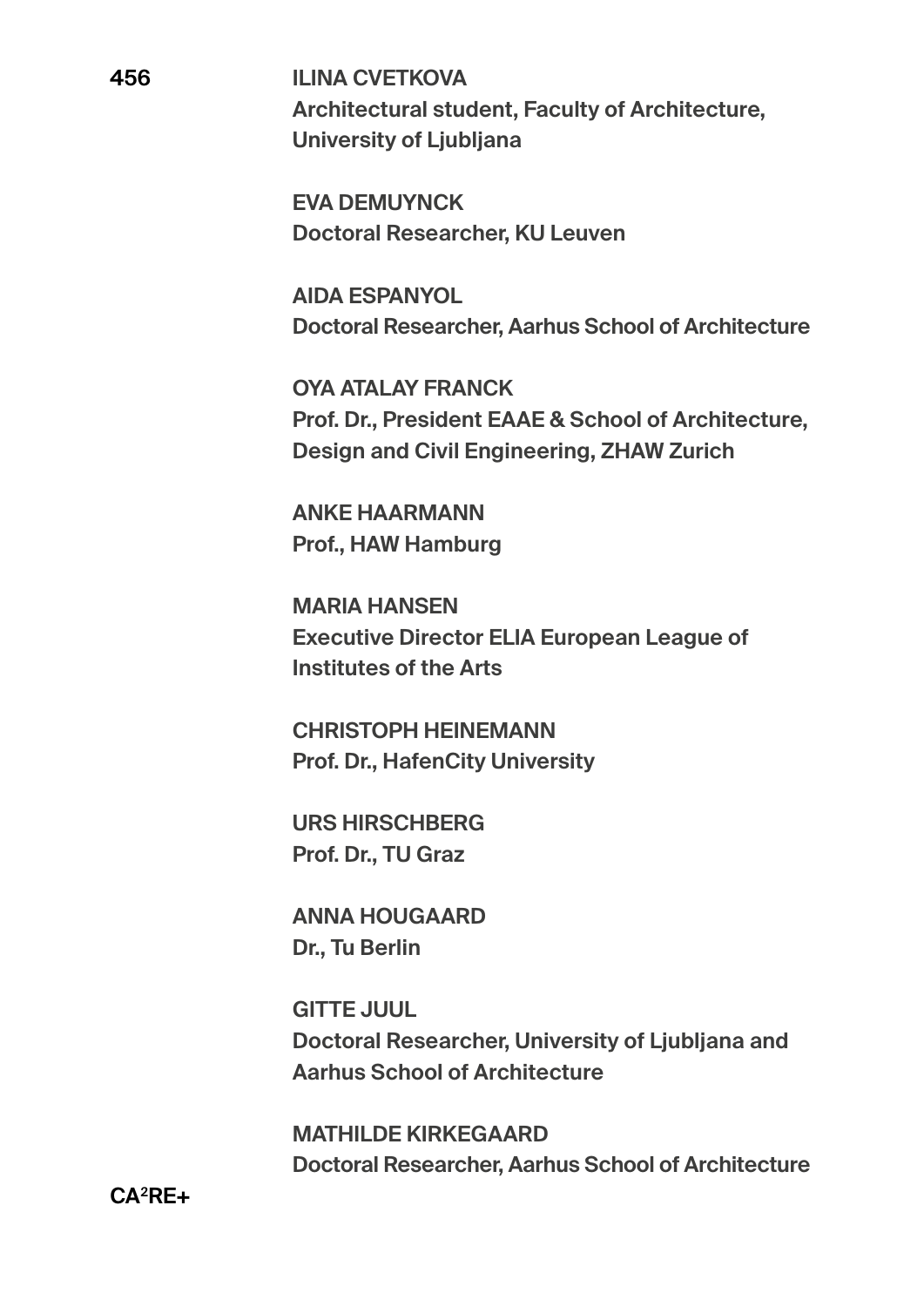**ILINA CVETKOVA Architectural student, Faculty of Architecture, University of Ljubljana** 

**EVA DEMUYNCK Doctoral Researcher, KU Leuven**

**AIDA ESPANYOL Doctoral Researcher, Aarhus School of Architecture**

**OYA ATALAY FRANCK Prof. Dr., President EAAE & School of Architecture, Design and Civil Engineering, ZHAW Zurich** 

**ANKE HAARMANN Prof., HAW Hamburg**

**MARIA HANSEN Executive Director ELIA European League of Institutes of the Arts** 

**CHRISTOPH HEINEMANN Prof. Dr., HafenCity University** 

**URS HIRSCHBERG Prof. Dr., TU Graz** 

**ANNA HOUGAARD Dr., Tu Berlin**

**GITTE JUUL Doctoral Researcher, University of Ljubljana and Aarhus School of Architecture**

**MATHILDE KIRKEGAARD Doctoral Researcher, Aarhus School of Architecture**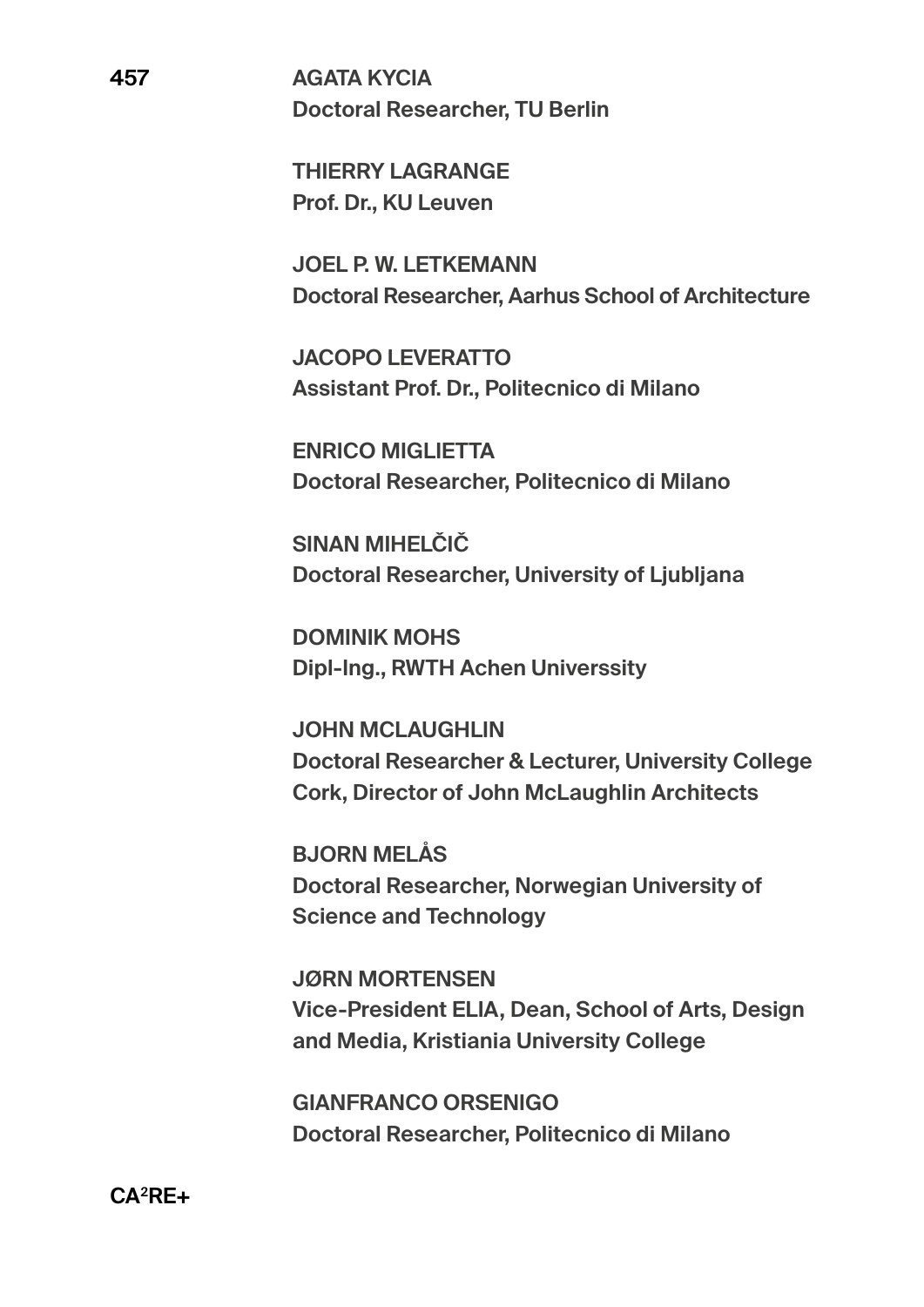**THIERRY LAGRANGE Prof. Dr., KU Leuven** 

**JOEL P. W. LETKEMANN Doctoral Researcher, Aarhus School of Architecture**

**JACOPO LEVERATTO Assistant Prof. Dr., Politecnico di Milano** 

**ENRICO MIGLIETTA Doctoral Researcher, Politecnico di Milano** 

**SINAN MIHELČIČ Doctoral Researcher, University of Ljubljana** 

**DOMINIK MOHS Dipl-Ing., RWTH Achen Universsity**

**JOHN MCLAUGHLIN Doctoral Researcher & Lecturer, University College Cork, Director of John McLaughlin Architects**

**BJORN MELÅS Doctoral Researcher, Norwegian University of Science and Technology** 

**JØRN MORTENSEN Vice-President ELIA, Dean, School of Arts, Design and Media, Kristiania University College**

**GIANFRANCO ORSENIGO Doctoral Researcher, Politecnico di Milano**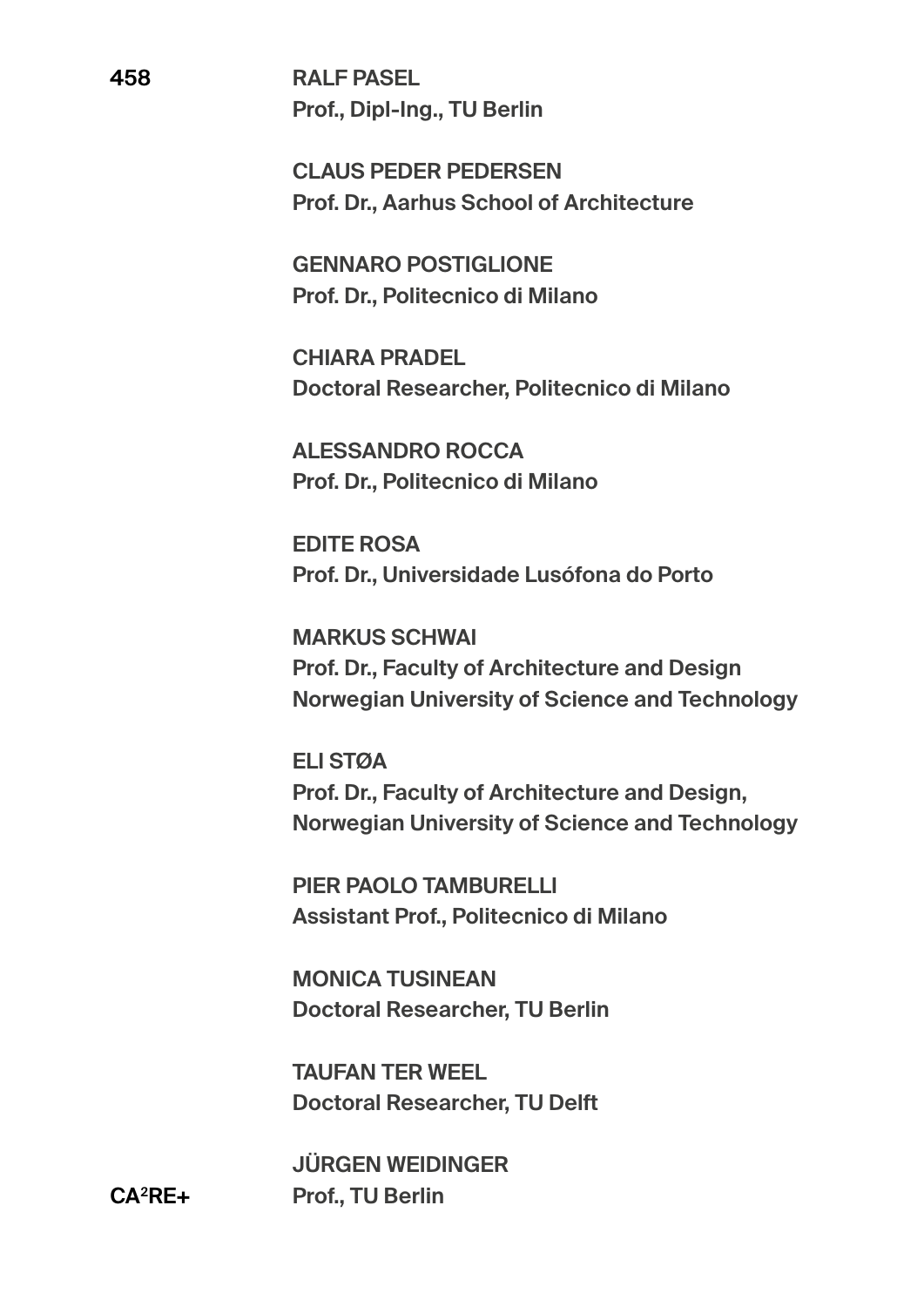**RALF PASEL Prof., Dipl-Ing., TU Berlin** 

**CLAUS PEDER PEDERSEN Prof. Dr., Aarhus School of Architecture** 

**GENNARO POSTIGLIONE Prof. Dr., Politecnico di Milano** 

**CHIARA PRADEL Doctoral Researcher, Politecnico di Milano** 

**ALESSANDRO ROCCA Prof. Dr., Politecnico di Milano** 

**EDITE ROSA Prof. Dr., Universidade Lusófona do Porto**

**MARKUS SCHWAI Prof. Dr., Faculty of Architecture and Design Norwegian University of Science and Technology** 

**ELI STØA Prof. Dr., Faculty of Architecture and Design, Norwegian University of Science and Technology** 

**PIER PAOLO TAMBURELLI Assistant Prof., Politecnico di Milano** 

**MONICA TUSINEAN Doctoral Researcher, TU Berlin**

**TAUFAN TER WEEL Doctoral Researcher, TU Delft**

**JÜRGEN WEIDINGER Prof., TU Berlin**